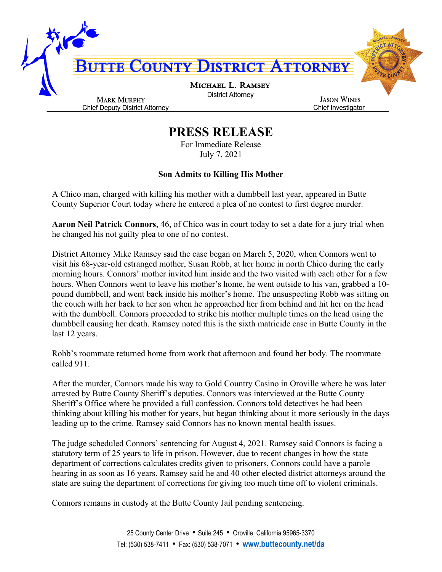

## **PRESS RELEASE**

For Immediate Release July 7, 2021

## **Son Admits to Killing His Mother**

A Chico man, charged with killing his mother with a dumbbell last year, appeared in Butte County Superior Court today where he entered a plea of no contest to first degree murder.

**Aaron Neil Patrick Connors**, 46, of Chico was in court today to set a date for a jury trial when he changed his not guilty plea to one of no contest.

District Attorney Mike Ramsey said the case began on March 5, 2020, when Connors went to visit his 68-year-old estranged mother, Susan Robb, at her home in north Chico during the early morning hours. Connors' mother invited him inside and the two visited with each other for a few hours. When Connors went to leave his mother's home, he went outside to his van, grabbed a 10 pound dumbbell, and went back inside his mother's home. The unsuspecting Robb was sitting on the couch with her back to her son when he approached her from behind and hit her on the head with the dumbbell. Connors proceeded to strike his mother multiple times on the head using the dumbbell causing her death. Ramsey noted this is the sixth matricide case in Butte County in the last 12 years.

Robb's roommate returned home from work that afternoon and found her body. The roommate called 911.

After the murder, Connors made his way to Gold Country Casino in Oroville where he was later arrested by Butte County Sheriff's deputies. Connors was interviewed at the Butte County Sheriff's Office where he provided a full confession. Connors told detectives he had been thinking about killing his mother for years, but began thinking about it more seriously in the days leading up to the crime. Ramsey said Connors has no known mental health issues.

The judge scheduled Connors' sentencing for August 4, 2021. Ramsey said Connors is facing a statutory term of 25 years to life in prison. However, due to recent changes in how the state department of corrections calculates credits given to prisoners, Connors could have a parole hearing in as soon as 16 years. Ramsey said he and 40 other elected district attorneys around the state are suing the department of corrections for giving too much time off to violent criminals.

Connors remains in custody at the Butte County Jail pending sentencing.